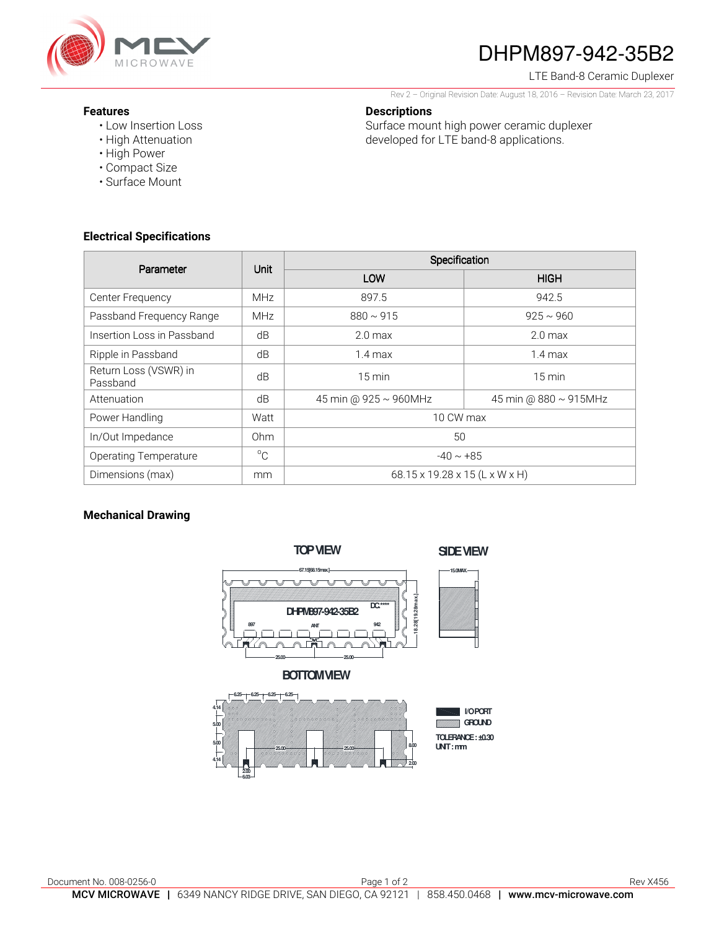

# DHPM897-942-35B2

LTE Band-8 Ceramic Duplexer

Rev 2 – Original Revision Date: August 18, 2016 – Revision Date: March 23, 2017

#### **Descriptions**

Surface mount high power ceramic duplexer developed for LTE band-8 applications.

- **Features** 
	- Low Insertion Loss
	- High Attenuation • High Power
	- Compact Size
	- Surface Mount

### **Electrical Specifications**

| Parameter                         | Unit        | Specification                  |                             |
|-----------------------------------|-------------|--------------------------------|-----------------------------|
|                                   |             | LOW                            | <b>HIGH</b>                 |
| Center Frequency                  | <b>MHz</b>  | 897.5                          | 942.5                       |
| Passband Frequency Range          | <b>MHz</b>  | $880 \sim 915$                 | $925 \sim 960$              |
| Insertion Loss in Passband        | dB          | 2.0 <sub>max</sub>             | 2.0 <sub>max</sub>          |
| Ripple in Passband                | dB          | $1.4 \text{ max}$              | $1.4$ max                   |
| Return Loss (VSWR) in<br>Passband | dB          | $15 \text{ min}$               | $15 \text{ min}$            |
| Attenuation                       | dB          | 45 min @ 925 ~ 960MHz          | 45 min @ $880 \sim 915$ MHz |
| Power Handling                    | Watt        | 10 CW max                      |                             |
| In/Out Impedance                  | Ohm         | 50                             |                             |
| <b>Operating Temperature</b>      | $^{\circ}C$ | $-40 \sim +85$                 |                             |
| Dimensions (max)                  | mm          | 68.15 x 19.28 x 15 (L x W x H) |                             |

#### **Mechanical Drawing**